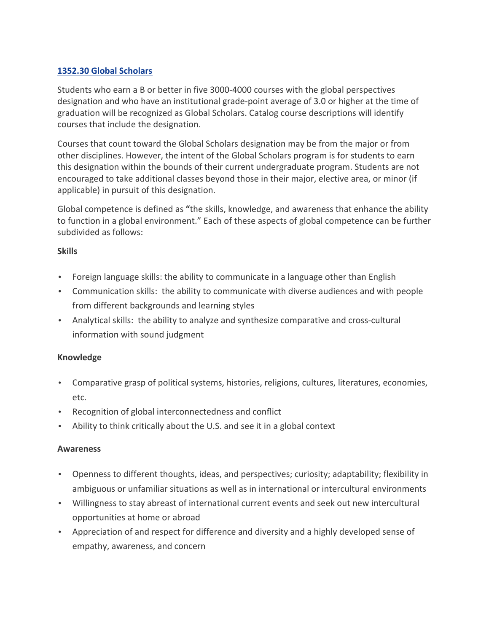# **1352.30 Global Scholars**

Students who earn a B or better in five 3000-4000 courses with the global perspectives designation and who have an institutional grade-point average of 3.0 or higher at the time of graduation will be recognized as Global Scholars. Catalog course descriptions will identify courses that include the designation.

Courses that count toward the Global Scholars designation may be from the major or from other disciplines. However, the intent of the Global Scholars program is for students to earn this designation within the bounds of their current undergraduate program. Students are not encouraged to take additional classes beyond those in their major, elective area, or minor (if applicable) in pursuit of this designation.

Global competence is defined as "the skills, knowledge, and awareness that enhance the ability to function in a global environment." Each of these aspects of global competence can be further subdivided as follows:

### **Skills**

- Foreign language skills: the ability to communicate in a language other than English
- Communication skills: the ability to communicate with diverse audiences and with people from different backgrounds and learning styles
- Analytical skills: the ability to analyze and synthesize comparative and cross-cultural information with sound judgment

# **Knowledge**

- Comparative grasp of political systems, histories, religions, cultures, literatures, economies, etc.
- Recognition of global interconnectedness and conflict
- Ability to think critically about the U.S. and see it in a global context

### **Awareness**

- Openness to different thoughts, ideas, and perspectives; curiosity; adaptability; flexibility in ambiguous or unfamiliar situations as well as in international or intercultural environments
- Willingness to stay abreast of international current events and seek out new intercultural opportunities at home or abroad
- Appreciation of and respect for difference and diversity and a highly developed sense of empathy, awareness, and concern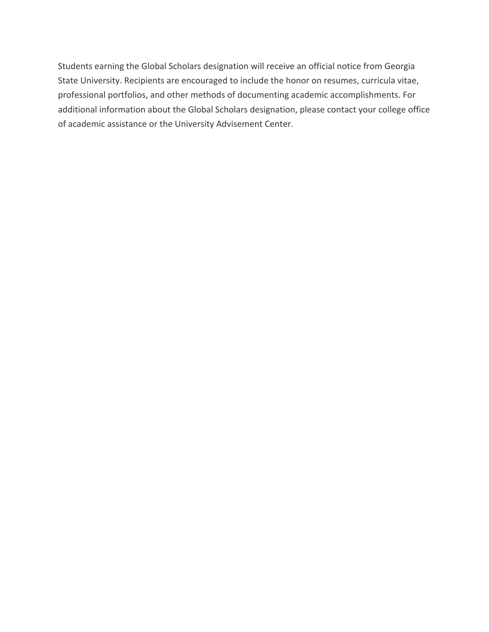Students earning the Global Scholars designation will receive an official notice from Georgia State University. Recipients are encouraged to include the honor on resumes, curricula vitae, professional portfolios, and other methods of documenting academic accomplishments. For additional information about the Global Scholars designation, please contact your college office of academic assistance or the University Advisement Center.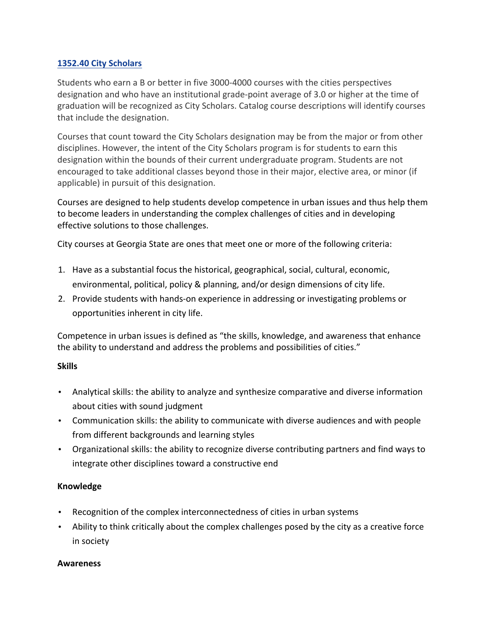### **1352.40 City Scholars**

Students who earn a B or better in five 3000-4000 courses with the cities perspectives designation and who have an institutional grade-point average of 3.0 or higher at the time of graduation will be recognized as City Scholars. Catalog course descriptions will identify courses that include the designation.

Courses that count toward the City Scholars designation may be from the major or from other disciplines. However, the intent of the City Scholars program is for students to earn this designation within the bounds of their current undergraduate program. Students are not encouraged to take additional classes beyond those in their major, elective area, or minor (if applicable) in pursuit of this designation.

Courses are designed to help students develop competence in urban issues and thus help them to become leaders in understanding the complex challenges of cities and in developing effective solutions to those challenges.

City courses at Georgia State are ones that meet one or more of the following criteria:

- 1. Have as a substantial focus the historical, geographical, social, cultural, economic, environmental, political, policy & planning, and/or design dimensions of city life.
- 2. Provide students with hands-on experience in addressing or investigating problems or opportunities inherent in city life.

Competence in urban issues is defined as "the skills, knowledge, and awareness that enhance the ability to understand and address the problems and possibilities of cities."

# **Skills**

- Analytical skills: the ability to analyze and synthesize comparative and diverse information about cities with sound judgment
- Communication skills: the ability to communicate with diverse audiences and with people from different backgrounds and learning styles
- Organizational skills: the ability to recognize diverse contributing partners and find ways to integrate other disciplines toward a constructive end

### **Knowledge**

- Recognition of the complex interconnectedness of cities in urban systems
- Ability to think critically about the complex challenges posed by the city as a creative force in society

### **Awareness**